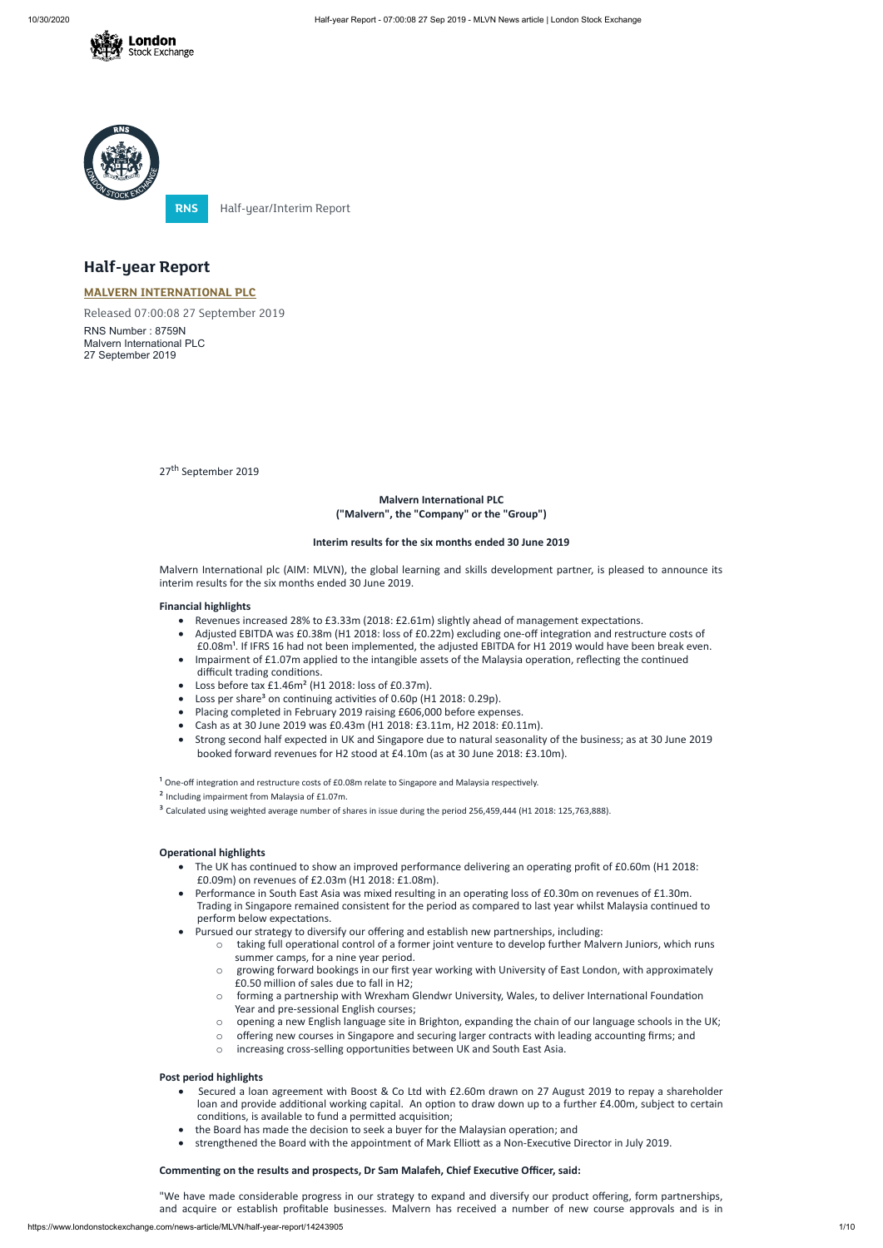



**RNS** Half-year/Interim Report

# **Half-year Report**

## **Malvern International PLC ("Malvern", the "Company" or the "Group")**

## **MALVERN [INTERNATIONAL](https://www.londonstockexchange.com/stock/MLVN/malvern-international-plc) PLC**

Released 07:00:08 27 September 2019

RNS Number : 8759N Malvern International PLC 27 September 2019

27<sup>th</sup> September 2019

Malvern International plc (AIM: MLVN), the global learning and skills development partner, is pleased to announce its interim results for the six months ended 30 June 2019.

## **Interim results for the six months ended 30 June 2019**

## **Financial highlights**

- Revenues increased 28% to £3.33m (2018: £2.61m) slightly ahead of management expectations.
- Adjusted EBITDA was £0.38m (H1 2018: loss of £0.22m) excluding one-off integration and restructure costs of £0.08m<sup>1</sup>. If IFRS 16 had not been implemented, the adjusted EBITDA for H1 2019 would have been break even.
- Impairment of £1.07m applied to the intangible assets of the Malaysia operation, reflecting the continued difficult trading conditions.
- · Loss before tax £1.46m² (H1 2018: loss of £0.37m).
- Loss per share<sup>3</sup> on continuing activities of 0.60p (H1 2018: 0.29p).
- · Placing completed in February 2019 raising £606,000 before expenses.
- · Cash as at 30 June 2019 was £0.43m (H1 2018: £3.11m, H2 2018: £0.11m).
- · Strong second half expected in UK and Singapore due to natural seasonality of the business; as at 30 June 2019 booked forward revenues for H2 stood at £4.10m (as at 30 June 2018: £3.10m).

 $1$  One-off integration and restructure costs of £0.08m relate to Singapore and Malaysia respectively.

² Including impairment from Malaysia of £1.07m.

<sup>3</sup> Calculated using weighted average number of shares in issue during the period 256,459,444 (H1 2018: 125,763,888).

## **Operational highlights**

- The UK has continued to show an improved performance delivering an operating profit of £0.60m (H1 2018: £0.09m) on revenues of £2.03m (H1 2018: £1.08m).
- Performance in South East Asia was mixed resulting in an operating loss of £0.30m on revenues of £1.30m. Trading in Singapore remained consistent for the period as compared to last year whilst Malaysia continued to perform below expectations.
- · Pursued our strategy to diversify our offering and establish new partnerships, including:
	- taking full operational control of a former joint venture to develop further Malvern Juniors, which runs summer camps, for a nine year period.
	- o growing forward bookings in our first year working with University of East London, with approximately £0.50 million of sales due to fall in H2;
	- $\circ$  forming a partnership with Wrexham Glendwr University, Wales, to deliver International Foundation Year and pre-sessional English courses;
	- o opening a new English language site in Brighton, expanding the chain of our language schools in the UK;
	- o offering new courses in Singapore and securing larger contracts with leading accounting firms; and
	- o increasing cross-selling opportunities between UK and South East Asia.

## **Post period highlights**

- Secured a loan agreement with Boost & Co Ltd with £2.60m drawn on 27 August 2019 to repay a shareholder loan and provide additional working capital. An option to draw down up to a further £4.00m, subject to certain conditions, is available to fund a permitted acquisition;
- the Board has made the decision to seek a buyer for the Malaysian operation; and
- strengthened the Board with the appointment of Mark Elliott as a Non-Executive Director in July 2019.

## **Commenng on the results and prospects, Dr Sam Malafeh, Chief Execuve Officer, said:**

"We have made considerable progress in our strategy to expand and diversify our product offering, form partnerships, and acquire or establish profitable businesses. Malvern has received a number of new course approvals and is in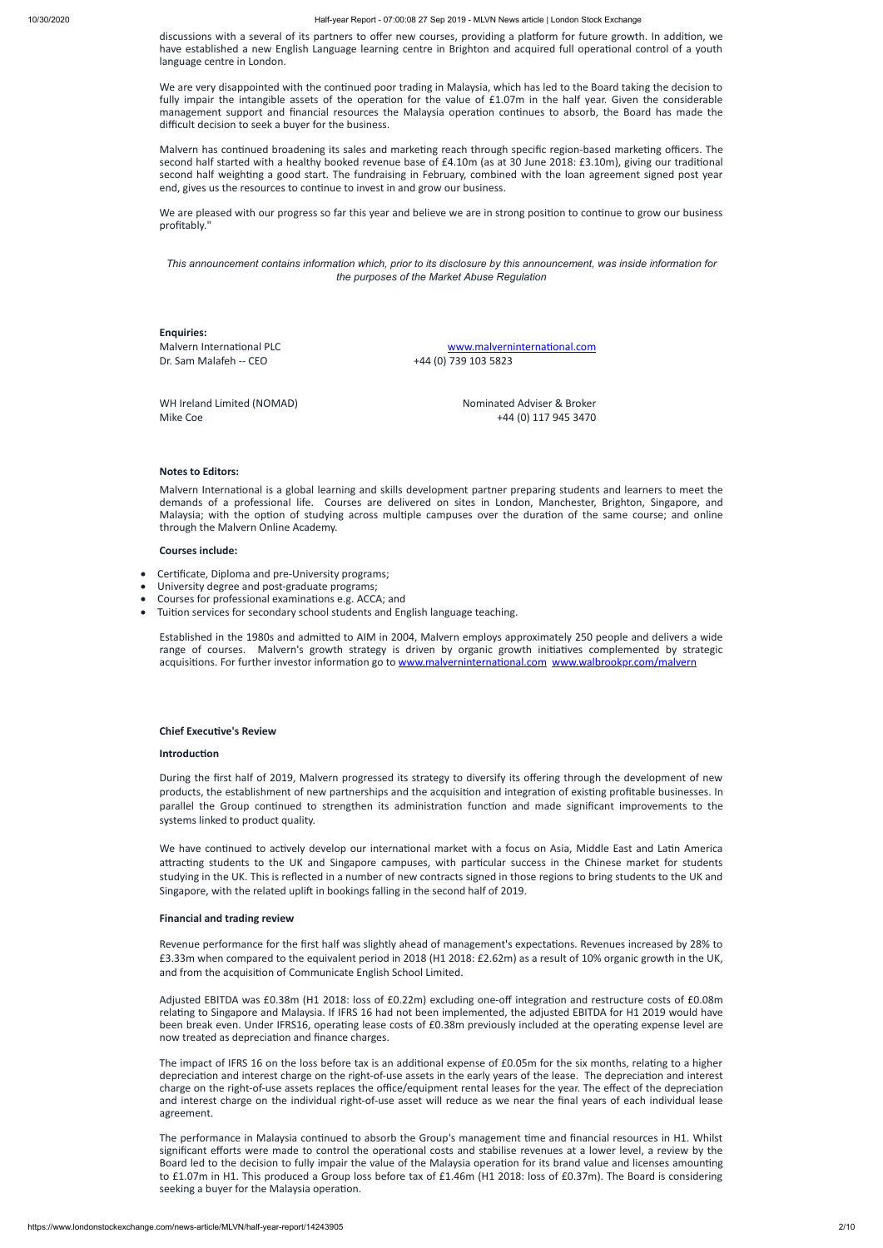discussions with a several of its partners to offer new courses, providing a platform for future growth. In addition, we have established a new English Language learning centre in Brighton and acquired full operational control of a youth language centre in London.

We are very disappointed with the continued poor trading in Malaysia, which has led to the Board taking the decision to fully impair the intangible assets of the operation for the value of  $£1.07m$  in the half year. Given the considerable management support and financial resources the Malaysia operation continues to absorb, the Board has made the difficult decision to seek a buyer for the business.

Malvern has continued broadening its sales and marketing reach through specific region-based marketing officers. The second half started with a healthy booked revenue base of £4.10m (as at 30 June 2018: £3.10m), giving our traditional second half weighting a good start. The fundraising in February, combined with the loan agreement signed post year end, gives us the resources to continue to invest in and grow our business.

We are pleased with our progress so far this year and believe we are in strong position to continue to grow our business profitably."

This announcement contains information which, prior to its disclosure by this announcement, was inside information for *the purposes of the Market Abuse Regulation*

Malvern International is a global learning and skills development partner preparing students and learners to meet the demands of a professional life. Courses are delivered on sites in London, Manchester, Brighton, Singapore, and Malaysia; with the option of studying across multiple campuses over the duration of the same course; and online through the Malvern Online Academy.

- · Cerficate, Diploma and pre-University programs;
- · University degree and post-graduate programs;
- Courses for professional examinations e.g. ACCA; and
- Tuition services for secondary school students and English language teaching.

Established in the 1980s and admitted to AIM in 2004, Malvern employs approximately 250 people and delivers a wide range of courses. Malvern's growth strategy is driven by organic growth initiatives complemented by strategic acquisitions. For further investor information go to www.malverninternational.com [www.walbrookpr.com/malvern](http://www.walbrookpr.com/malvern)

## **Chief Executive's Review**

## **Introduction**

**Enquiries:** Dr. Sam Malafeh -- CEO +44 (0) 739 103 5823

Malvern International PLC and the community of the www.malverninternational.com

WH Ireland Limited (NOMAD) Nominated Adviser & Broker Mike Coe +44 (0) 117 945 3470

## **Notes to Editors:**

## **Courses include:**

The impact of IFRS 16 on the loss before tax is an additional expense of £0.05m for the six months, relating to a higher depreciation and interest charge on the right-of-use assets in the early years of the lease. The depreciation and interest charge on the right-of-use assets replaces the office/equipment rental leases for the year. The effect of the depreciation and interest charge on the individual right-of-use asset will reduce as we near the final years of each individual lease agreement.

The performance in Malaysia continued to absorb the Group's management time and financial resources in H1. Whilst significant efforts were made to control the operational costs and stabilise revenues at a lower level, a review by the Board led to the decision to fully impair the value of the Malaysia operation for its brand value and licenses amounting to £1.07m in H1. This produced a Group loss before tax of £1.46m (H1 2018: loss of £0.37m). The Board is considering seeking a buyer for the Malaysia operation.

During the first half of 2019, Malvern progressed its strategy to diversify its offering through the development of new products, the establishment of new partnerships and the acquisition and integration of existing profitable businesses. In parallel the Group continued to strengthen its administration function and made significant improvements to the systems linked to product quality.

We have continued to actively develop our international market with a focus on Asia, Middle East and Latin America attracting students to the UK and Singapore campuses, with particular success in the Chinese market for students studying in the UK. This is reflected in a number of new contracts signed in those regions to bring students to the UK and Singapore, with the related uplift in bookings falling in the second half of 2019.

## **Financial and trading review**

Revenue performance for the first half was slightly ahead of management's expectations. Revenues increased by 28% to £3.33m when compared to the equivalent period in 2018 (H1 2018: £2.62m) as a result of 10% organic growth in the UK, and from the acquisition of Communicate English School Limited.

Adjusted EBITDA was £0.38m (H1 2018: loss of £0.22m) excluding one-off integration and restructure costs of £0.08m relating to Singapore and Malaysia. If IFRS 16 had not been implemented, the adjusted EBITDA for H1 2019 would have been break even. Under IFRS16, operating lease costs of £0.38m previously included at the operating expense level are now treated as depreciation and finance charges.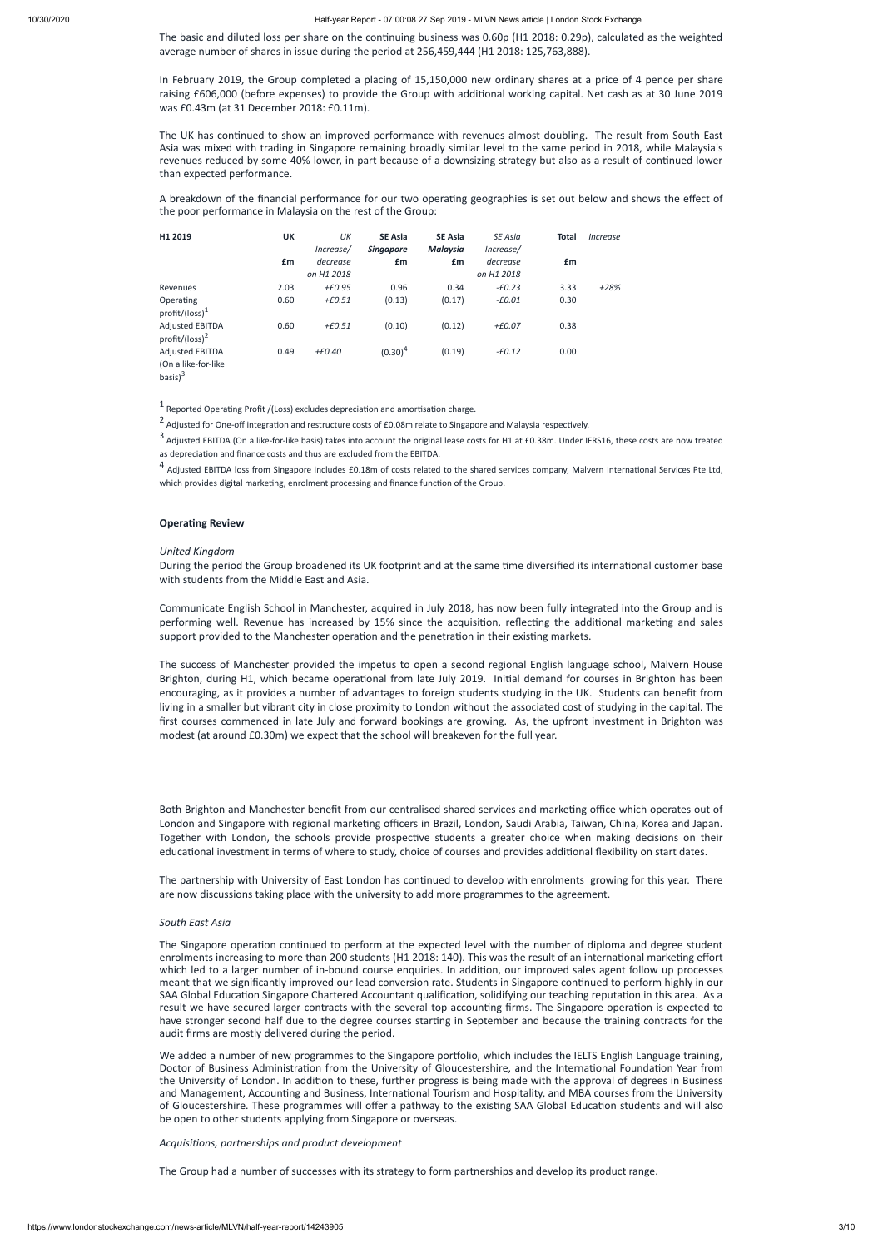The basic and diluted loss per share on the continuing business was  $0.60p$  (H1 2018: 0.29p), calculated as the weighted average number of shares in issue during the period at 256,459,444 (H1 2018: 125,763,888).

The UK has continued to show an improved performance with revenues almost doubling. The result from South East Asia was mixed with trading in Singapore remaining broadly similar level to the same period in 2018, while Malaysia's revenues reduced by some 40% lower, in part because of a downsizing strategy but also as a result of continued lower than expected performance.

In February 2019, the Group completed a placing of 15,150,000 new ordinary shares at a price of 4 pence per share raising £606,000 (before expenses) to provide the Group with additional working capital. Net cash as at 30 June 2019 was £0.43m (at 31 December 2018: £0.11m).

A breakdown of the financial performance for our two operating geographies is set out below and shows the effect of the poor performance in Malaysia on the rest of the Group:

3 Adjusted EBITDA (On a like-for-like basis) takes into account the original lease costs for H1 at £0.38m. Under IFRS16, these costs are now treated as depreciation and finance costs and thus are excluded from the EBITDA.

<sup>4</sup> Adjusted EBITDA loss from Singapore includes £0.18m of costs related to the shared services company, Malvern International Services Pte Ltd, which provides digital marketing, enrolment processing and finance function of the Group.

## **Operating Review**

During the period the Group broadened its UK footprint and at the same time diversified its international customer base with students from the Middle East and Asia.

Communicate English School in Manchester, acquired in July 2018, has now been fully integrated into the Group and is performing well. Revenue has increased by 15% since the acquisition, reflecting the additional marketing and sales support provided to the Manchester operation and the penetration in their existing markets.

| H1 2019                                                      | UK   | UК<br>Increase/        | <b>SE Asia</b><br><b>Singapore</b> | <b>SE Asia</b><br><b>Malaysia</b> | SE Asia<br>Increase/   | <b>Total</b> | <i><u><b>Increase</b></u></i> |
|--------------------------------------------------------------|------|------------------------|------------------------------------|-----------------------------------|------------------------|--------------|-------------------------------|
|                                                              | £m   | decrease<br>on H1 2018 | £m                                 | £m                                | decrease<br>on H1 2018 | £m           |                               |
| Revenues                                                     | 2.03 | +£0.95                 | 0.96                               | 0.34                              | $-£0.23$               | 3.33         | $+28%$                        |
| Operating<br>profit/(loss) $1$                               | 0.60 | $+EO.51$               | (0.13)                             | (0.17)                            | $-£0.01$               | 0.30         |                               |
| <b>Adjusted EBITDA</b><br>profit/(loss) <sup>2</sup>         | 0.60 | $+EO.51$               | (0.10)                             | (0.12)                            | $+E0.07$               | 0.38         |                               |
| <b>Adjusted EBITDA</b><br>(On a like-for-like<br>basis $)^3$ | 0.49 | $+E0.40$               | $(0.30)^4$                         | (0.19)                            | $-£0.12$               | 0.00         |                               |

 $1$  Reported Operating Profit /(Loss) excludes depreciation and amortisation charge.

 $2$  Adjusted for One-off integration and restructure costs of £0.08m relate to Singapore and Malaysia respectively.

The partnership with University of East London has continued to develop with enrolments growing for this year. There are now discussions taking place with the university to add more programmes to the agreement.

### *United Kingdom*

The Singapore operation continued to perform at the expected level with the number of diploma and degree student enrolments increasing to more than 200 students (H1 2018: 140). This was the result of an international marketing effort which led to a larger number of in-bound course enquiries. In addition, our improved sales agent follow up processes meant that we significantly improved our lead conversion rate. Students in Singapore continued to perform highly in our SAA Global Education Singapore Chartered Accountant qualification, solidifying our teaching reputation in this area. As a result we have secured larger contracts with the several top accounting firms. The Singapore operation is expected to have stronger second half due to the degree courses starting in September and because the training contracts for the audit firms are mostly delivered during the period.

We added a number of new programmes to the Singapore portfolio, which includes the IELTS English Language training, Doctor of Business Administration from the University of Gloucestershire, and the International Foundation Year from the University of London. In addition to these, further progress is being made with the approval of degrees in Business and Management, Accounting and Business, International Tourism and Hospitality, and MBA courses from the University of Gloucestershire. These programmes will offer a pathway to the existing SAA Global Education students and will also be open to other students applying from Singapore or overseas.

The success of Manchester provided the impetus to open a second regional English language school, Malvern House Brighton, during H1, which became operational from late July 2019. Initial demand for courses in Brighton has been encouraging, as it provides a number of advantages to foreign students studying in the UK. Students can benefit from living in a smaller but vibrant city in close proximity to London without the associated cost of studying in the capital. The first courses commenced in late July and forward bookings are growing. As, the upfront investment in Brighton was modest (at around £0.30m) we expect that the school will breakeven for the full year.

Both Brighton and Manchester benefit from our centralised shared services and marketing office which operates out of London and Singapore with regional marketing officers in Brazil, London, Saudi Arabia, Taiwan, China, Korea and Japan. Together with London, the schools provide prospective students a greater choice when making decisions on their educational investment in terms of where to study, choice of courses and provides additional flexibility on start dates.

### *South East Asia*

*Acquisions, partnerships and product development*

The Group had a number of successes with its strategy to form partnerships and develop its product range.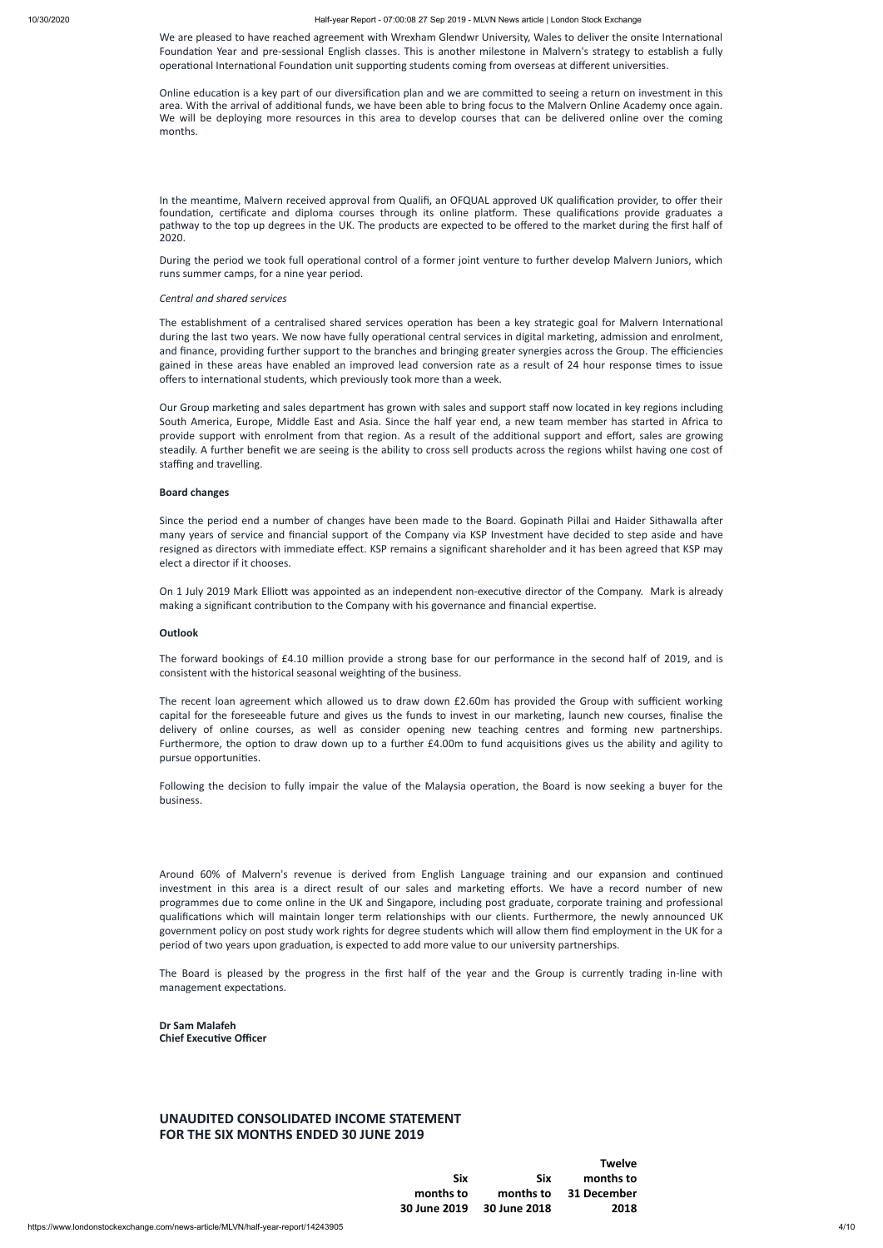We are pleased to have reached agreement with Wrexham Glendwr University, Wales to deliver the onsite International Foundation Year and pre-sessional English classes. This is another milestone in Malvern's strategy to establish a fully operational International Foundation unit supporting students coming from overseas at different universities.

Online education is a key part of our diversification plan and we are committed to seeing a return on investment in this area. With the arrival of additional funds, we have been able to bring focus to the Malvern Online Academy once again. We will be deploying more resources in this area to develop courses that can be delivered online over the coming months.

In the meantime, Malvern received approval from Qualifi, an OFQUAL approved UK qualification provider, to offer their foundation, certificate and diploma courses through its online platform. These qualifications provide graduates a pathway to the top up degrees in the UK. The products are expected to be offered to the market during the first half of 2020.

During the period we took full operational control of a former joint venture to further develop Malvern Juniors, which runs summer camps, for a nine year period.

Our Group marketing and sales department has grown with sales and support staff now located in key regions including South America, Europe, Middle East and Asia. Since the half year end, a new team member has started in Africa to provide support with enrolment from that region. As a result of the additional support and effort, sales are growing steadily. A further benefit we are seeing is the ability to cross sell products across the regions whilst having one cost of staffing and travelling.

### *Central and shared services*

The establishment of a centralised shared services operation has been a key strategic goal for Malvern International during the last two years. We now have fully operational central services in digital marketing, admission and enrolment, and finance, providing further support to the branches and bringing greater synergies across the Group. The efficiencies gained in these areas have enabled an improved lead conversion rate as a result of 24 hour response times to issue offers to international students, which previously took more than a week.

Since the period end a number of changes have been made to the Board. Gopinath Pillai and Haider Sithawalla after many years of service and financial support of the Company via KSP Investment have decided to step aside and have resigned as directors with immediate effect. KSP remains a significant shareholder and it has been agreed that KSP may elect a director if it chooses.

On 1 July 2019 Mark Elliott was appointed as an independent non-executive director of the Company. Mark is already making a significant contribution to the Company with his governance and financial expertise.

The forward bookings of £4.10 million provide a strong base for our performance in the second half of 2019, and is consistent with the historical seasonal weighting of the business.

The recent loan agreement which allowed us to draw down £2.60m has provided the Group with sufficient working capital for the foreseeable future and gives us the funds to invest in our marketing, launch new courses, finalise the delivery of online courses, as well as consider opening new teaching centres and forming new partnerships. Furthermore, the option to draw down up to a further £4.00m to fund acquisitions gives us the ability and agility to pursue opportunities.

Following the decision to fully impair the value of the Malaysia operation, the Board is now seeking a buyer for the business.

Around 60% of Malvern's revenue is derived from English Language training and our expansion and continued investment in this area is a direct result of our sales and marketing efforts. We have a record number of new programmes due to come online in the UK and Singapore, including post graduate, corporate training and professional qualifications which will maintain longer term relationships with our clients. Furthermore, the newly announced UK government policy on post study work rights for degree students which will allow them find employment in the UK for a

period of two years upon graduation, is expected to add more value to our university partnerships.

The Board is pleased by the progress in the first half of the year and the Group is currently trading in-line with management expectations.

**Dr Sam Malafeh Chief Executive Officer** 

### **Board changes**

### **Outlook**

## **UNAUDITED CONSOLIDATED INCOME STATEMENT FOR THE SIX MONTHS ENDED 30 JUNE 2019**

### **Six months to 30 June 2019 30 June 2018 Six months to Twelve months to 31 December 2018**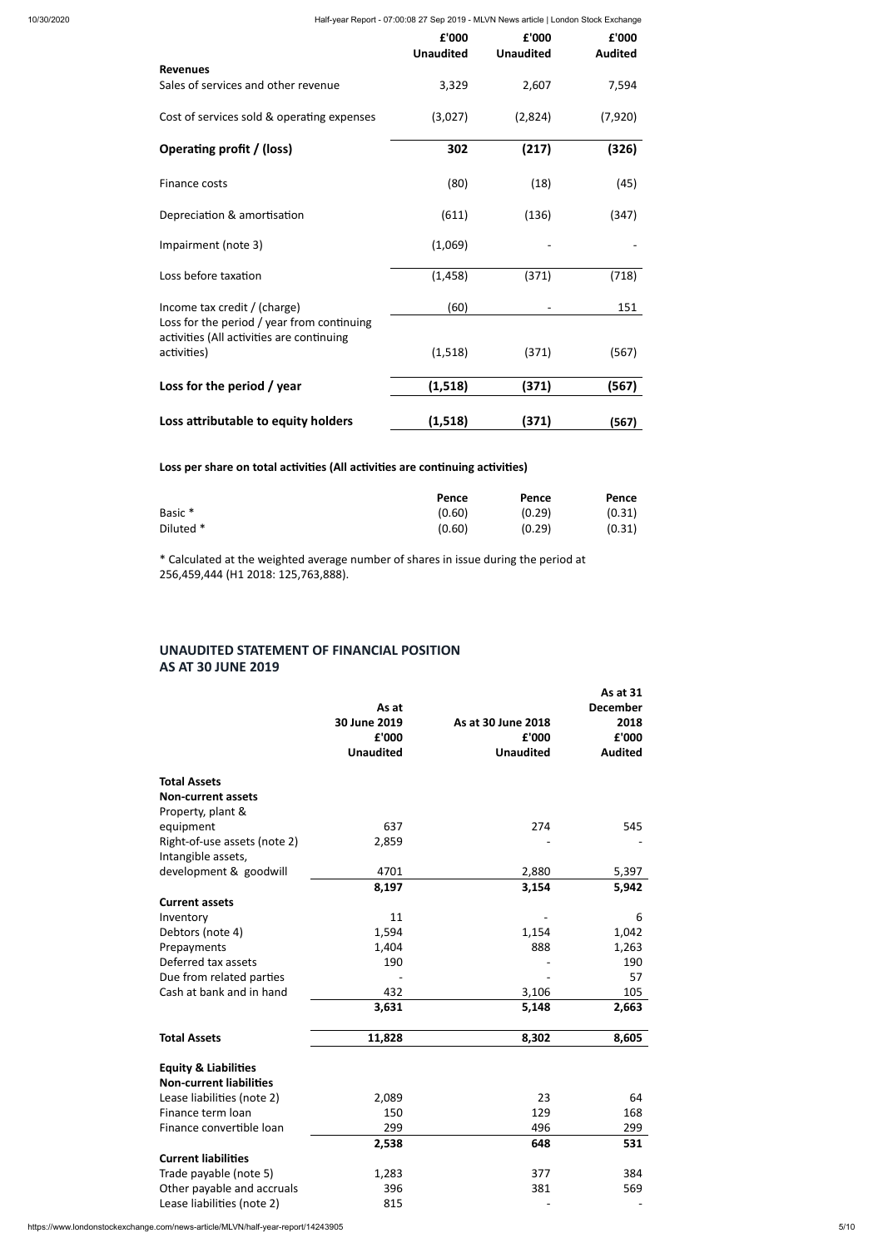|                                                                                         | £'000<br><b>Unaudited</b> | £'000<br><b>Unaudited</b> | £'000<br><b>Audited</b> |
|-----------------------------------------------------------------------------------------|---------------------------|---------------------------|-------------------------|
| <b>Revenues</b>                                                                         |                           |                           |                         |
| Sales of services and other revenue                                                     | 3,329                     | 2,607                     | 7,594                   |
| Cost of services sold & operating expenses                                              | (3,027)                   | (2,824)                   | (7,920)                 |
| Operating profit / (loss)                                                               | 302                       | (217)                     | (326)                   |
| Finance costs                                                                           | (80)                      | (18)                      | (45)                    |
| Depreciation & amortisation                                                             | (611)                     | (136)                     | (347)                   |
| Impairment (note 3)                                                                     | (1,069)                   |                           |                         |
| Loss before taxation                                                                    | (1, 458)                  | (371)                     | (718)                   |
| Income tax credit / (charge)                                                            | (60)                      |                           | 151                     |
| Loss for the period / year from continuing<br>activities (All activities are continuing |                           |                           |                         |
| activities)                                                                             | (1,518)                   | (371)                     | (567)                   |
| Loss for the period / year                                                              | (1, 518)                  | (371)                     | (567)                   |
| Loss attributable to equity holders                                                     | (1, 518)                  | (371)                     | (567)                   |

Loss per share on total activities (All activities are continuing activities)

|                    | Pence  | Pence  | Pence  |
|--------------------|--------|--------|--------|
| Basic <sup>*</sup> | (0.60) | (0.29) | (0.31) |
| Diluted *          | (0.60) | (0.29) | (0.31) |

\* Calculated at the weighted average number of shares in issue during the period at 256,459,444 (H1 2018: 125,763,888).

## **UNAUDITED STATEMENT OF FINANCIAL POSITION AS AT 30 JUNE 2019**

|                                 |                       |                             | As at 31        |
|---------------------------------|-----------------------|-----------------------------|-----------------|
|                                 | As at                 |                             | <b>December</b> |
|                                 | 30 June 2019<br>£'000 | As at 30 June 2018<br>£'000 | 2018<br>£'000   |
|                                 | <b>Unaudited</b>      | <b>Unaudited</b>            | <b>Audited</b>  |
|                                 |                       |                             |                 |
| <b>Total Assets</b>             |                       |                             |                 |
| <b>Non-current assets</b>       |                       |                             |                 |
| Property, plant &               |                       |                             |                 |
| equipment                       | 637                   | 274                         | 545             |
| Right-of-use assets (note 2)    | 2,859                 |                             |                 |
| Intangible assets,              |                       |                             |                 |
| development & goodwill          | 4701                  | 2,880                       | 5,397           |
|                                 | 8,197                 | 3,154                       | 5,942           |
| <b>Current assets</b>           |                       |                             |                 |
| Inventory                       | 11                    |                             | 6               |
| Debtors (note 4)                | 1,594                 | 1,154                       | 1,042           |
| Prepayments                     | 1,404                 | 888                         | 1,263           |
| Deferred tax assets             | 190                   |                             | 190             |
| Due from related parties        |                       |                             | 57              |
| Cash at bank and in hand        | 432                   | 3,106                       | 105             |
|                                 | 3,631                 | 5,148                       | 2,663           |
| <b>Total Assets</b>             | 11,828                | 8,302                       | 8,605           |
| <b>Equity &amp; Liabilities</b> |                       |                             |                 |
| <b>Non-current liabilities</b>  |                       |                             |                 |
| Lease liabilities (note 2)      | 2,089                 | 23                          | 64              |
| Finance term loan               | 150                   | 129                         | 168             |
| Finance convertible loan        | 299                   | 496                         | 299             |
|                                 | 2,538                 | 648                         | 531             |
| <b>Current liabilities</b>      |                       |                             |                 |
| Trade payable (note 5)          | 1,283                 | 377                         | 384             |
| Other payable and accruals      | 396                   | 381                         | 569             |
| Lease liabilities (note 2)      | 815                   |                             |                 |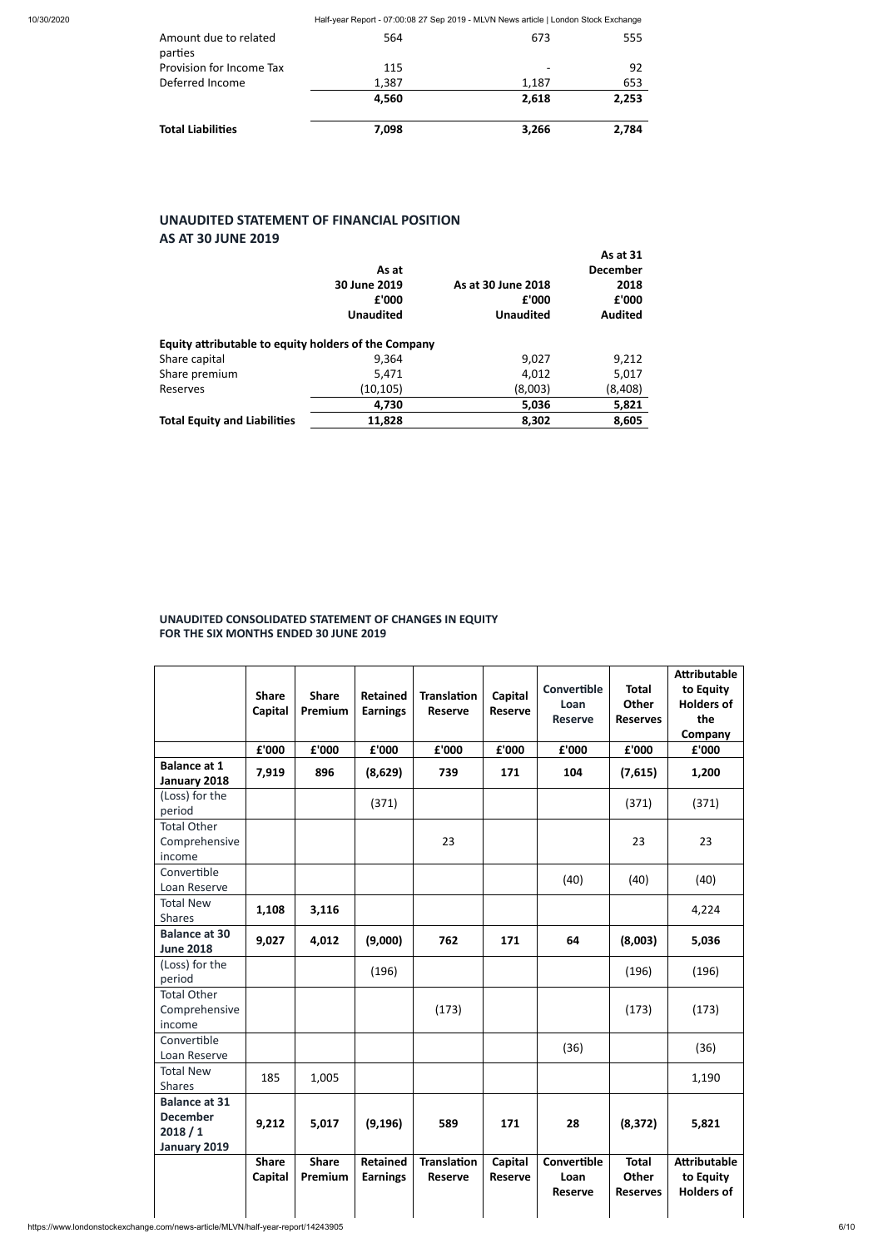| parties<br>Provision for Income Tax<br>115<br>Deferred Income<br>1,387<br>1,187<br>4,560<br>2,618 | <b>Total Liabilities</b> | 7,098 | 3,266 | 2,784 |
|---------------------------------------------------------------------------------------------------|--------------------------|-------|-------|-------|
|                                                                                                   |                          |       |       | 2,253 |
|                                                                                                   |                          |       |       | 653   |
|                                                                                                   |                          |       |       | 92    |
| Amount due to related<br>673<br>564                                                               |                          |       |       | 555   |

## **UNAUDITED STATEMENT OF FINANCIAL POSITION AS AT 30 JUNE 2019**

|                                                      | As at<br>30 June 2019<br>£'000<br><b>Unaudited</b> | As at 30 June 2018<br>£'000<br><b>Unaudited</b> | As at 31<br><b>December</b><br>2018<br>£'000<br><b>Audited</b> |
|------------------------------------------------------|----------------------------------------------------|-------------------------------------------------|----------------------------------------------------------------|
| Equity attributable to equity holders of the Company |                                                    |                                                 |                                                                |
| Share capital                                        | 9,364                                              | 9,027                                           | 9,212                                                          |
| Share premium                                        | 5,471                                              | 4,012                                           | 5,017                                                          |
| Reserves                                             | (10, 105)                                          | (8,003)                                         | (8,408)                                                        |
|                                                      | 4,730                                              | 5,036                                           | 5,821                                                          |
| <b>Total Equity and Liabilities</b>                  | 11,828                                             | 8,302                                           | 8,605                                                          |

## **UNAUDITED CONSOLIDATED STATEMENT OF CHANGES IN EQUITY FOR THE SIX MONTHS ENDED 30 JUNE 2019**

|                                                                   | <b>Share</b><br>Capital | <b>Share</b><br>Premium | <b>Retained</b><br><b>Earnings</b> | <b>Translation</b><br><b>Reserve</b> | Capital<br><b>Reserve</b> | Convertible<br>Loan<br><b>Reserve</b> | <b>Total</b><br><b>Other</b><br><b>Reserves</b> | <b>Attributable</b><br>to Equity<br><b>Holders of</b><br>the<br>Company |
|-------------------------------------------------------------------|-------------------------|-------------------------|------------------------------------|--------------------------------------|---------------------------|---------------------------------------|-------------------------------------------------|-------------------------------------------------------------------------|
| <b>Balance at 1</b>                                               | £'000                   | £'000                   | £'000                              | £'000                                | £'000                     | £'000                                 | £'000                                           | £'000                                                                   |
| January 2018                                                      | 7,919                   | 896                     | (8,629)                            | 739                                  | 171                       | 104                                   | (7,615)                                         | 1,200                                                                   |
| (Loss) for the<br>period                                          |                         |                         | (371)                              |                                      |                           |                                       | (371)                                           | (371)                                                                   |
| <b>Total Other</b><br>Comprehensive<br>income                     |                         |                         |                                    | 23                                   |                           |                                       | 23                                              | 23                                                                      |
| Convertible<br>Loan Reserve                                       |                         |                         |                                    |                                      |                           | (40)                                  | (40)                                            | (40)                                                                    |
| <b>Total New</b><br><b>Shares</b>                                 | 1,108                   | 3,116                   |                                    |                                      |                           |                                       |                                                 | 4,224                                                                   |
| <b>Balance at 30</b><br><b>June 2018</b>                          | 9,027                   | 4,012                   | (9,000)                            | 762                                  | 171                       | 64                                    | (8,003)                                         | 5,036                                                                   |
| (Loss) for the<br>period                                          |                         |                         | (196)                              |                                      |                           |                                       | (196)                                           | (196)                                                                   |
| <b>Total Other</b><br>Comprehensive<br>income                     |                         |                         |                                    | (173)                                |                           |                                       | (173)                                           | (173)                                                                   |
| Convertible<br>Loan Reserve                                       |                         |                         |                                    |                                      |                           | (36)                                  |                                                 | (36)                                                                    |
| <b>Total New</b><br><b>Shares</b>                                 | 185                     | 1,005                   |                                    |                                      |                           |                                       |                                                 | 1,190                                                                   |
| <b>Balance at 31</b><br><b>December</b><br>2018/1<br>January 2019 | 9,212                   | 5,017                   | (9, 196)                           | 589                                  | 171                       | 28                                    | (8, 372)                                        | 5,821                                                                   |
|                                                                   | <b>Share</b><br>Capital | <b>Share</b><br>Premium | <b>Retained</b><br><b>Earnings</b> | <b>Translation</b><br><b>Reserve</b> | Capital<br><b>Reserve</b> | Convertible<br>Loan<br><b>Reserve</b> | <b>Total</b><br>Other<br><b>Reserves</b>        | <b>Attributable</b><br>to Equity<br><b>Holders of</b>                   |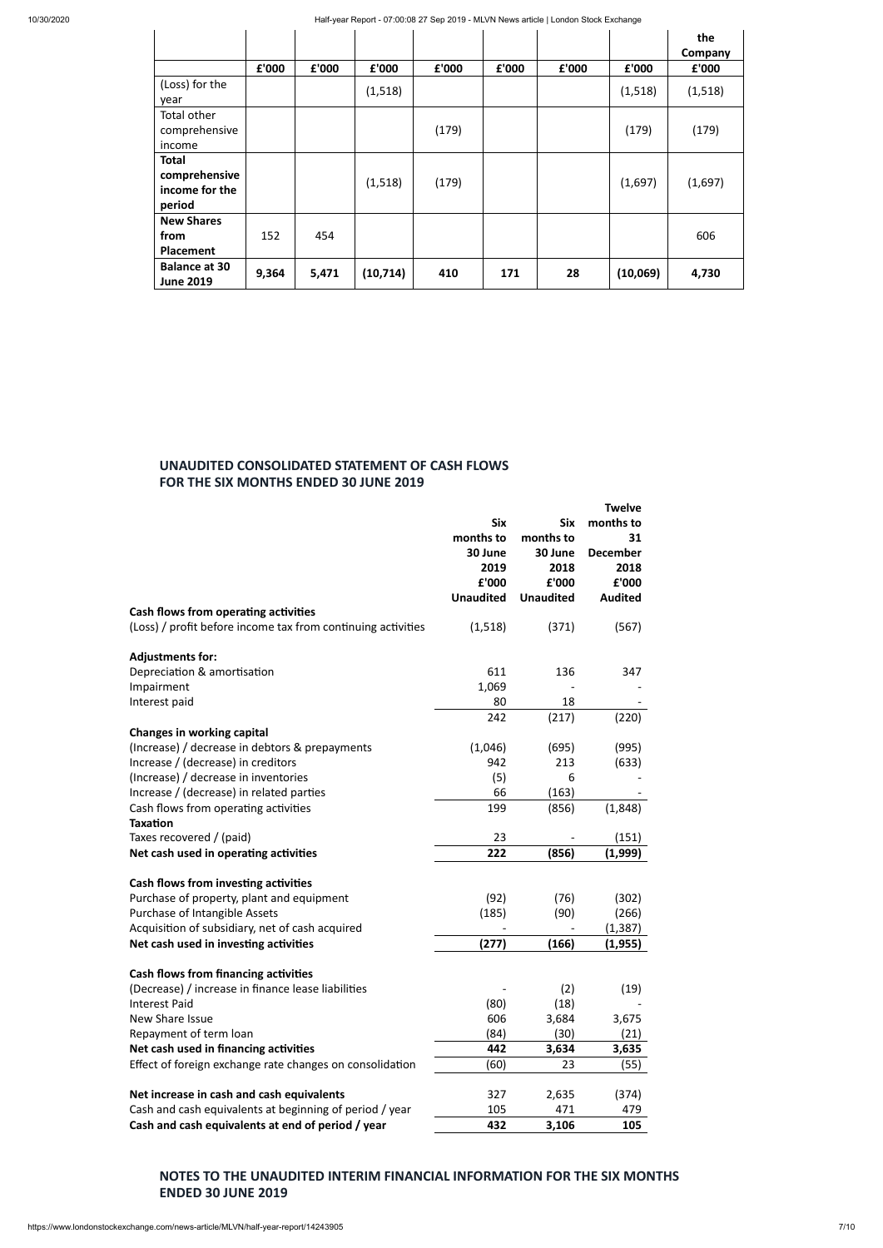|                                                           |       |       |           |       |       |       |          | the<br>Company |
|-----------------------------------------------------------|-------|-------|-----------|-------|-------|-------|----------|----------------|
|                                                           | £'000 | £'000 | £'000     | £'000 | £'000 | £'000 | £'000    | £'000          |
| (Loss) for the<br>year                                    |       |       | (1, 518)  |       |       |       | (1,518)  | (1,518)        |
| Total other<br>comprehensive<br>income                    |       |       |           | (179) |       |       | (179)    | (179)          |
| <b>Total</b><br>comprehensive<br>income for the<br>period |       |       | (1,518)   | (179) |       |       | (1,697)  | (1,697)        |
| <b>New Shares</b><br>from<br><b>Placement</b>             | 152   | 454   |           |       |       |       |          | 606            |
| <b>Balance at 30</b><br><b>June 2019</b>                  | 9,364 | 5,471 | (10, 714) | 410   | 171   | 28    | (10,069) | 4,730          |

## **UNAUDITED CONSOLIDATED STATEMENT OF CASH FLOWS FOR THE SIX MONTHS ENDED 30 JUNE 2019**

|                                                              |                  |                  | <b>Twelve</b>   |
|--------------------------------------------------------------|------------------|------------------|-----------------|
|                                                              | <b>Six</b>       | <b>Six</b>       | months to       |
|                                                              | months to        | months to        | 31              |
|                                                              | 30 June          | 30 June          | <b>December</b> |
|                                                              | 2019             | 2018             | 2018            |
|                                                              | £'000            | £'000            | £'000           |
|                                                              | <b>Unaudited</b> | <b>Unaudited</b> | <b>Audited</b>  |
| Cash flows from operating activities                         |                  |                  |                 |
| (Loss) / profit before income tax from continuing activities | (1,518)          | (371)            | (567)           |
| <b>Adjustments for:</b>                                      |                  |                  |                 |
| Depreciation & amortisation                                  | 611              | 136              | 347             |
| Impairment                                                   | 1,069            |                  |                 |
| Interest paid                                                | 80               | 18               |                 |
|                                                              | 242              | (217)            | (220)           |
| <b>Changes in working capital</b>                            |                  |                  |                 |
| (Increase) / decrease in debtors & prepayments               | (1,046)          | (695)            | (995)           |
| Increase / (decrease) in creditors                           | 942              | 213              | (633)           |
| (Increase) / decrease in inventories                         | (5)              | 6                |                 |
| Increase / (decrease) in related parties                     | 66               | (163)            |                 |
| Cash flows from operating activities                         | 199              | (856)            | (1,848)         |
| <b>Taxation</b>                                              |                  |                  |                 |
| Taxes recovered / (paid)                                     | 23               |                  | (151)           |
| Net cash used in operating activities                        | 222              | (856)            | (1,999)         |
| Cash flows from investing activities                         |                  |                  |                 |
| Purchase of property, plant and equipment                    | (92)             | (76)             | (302)           |
| Purchase of Intangible Assets                                | (185)            | (90)             | (266)           |
| Acquisition of subsidiary, net of cash acquired              |                  |                  | (1, 387)        |
| Net cash used in investing activities                        | (277)            | (166)            | (1,955)         |
| Cash flows from financing activities                         |                  |                  |                 |
| (Decrease) / increase in finance lease liabilities           |                  | (2)              | (19)            |
| <b>Interest Paid</b>                                         | (80)             | (18)             |                 |
| New Share Issue                                              | 606              | 3,684            | 3,675           |
| Repayment of term loan                                       | (84)             | (30)             | (21)            |
| Net cash used in financing activities                        | 442              | 3,634            | 3,635           |
| Effect of foreign exchange rate changes on consolidation     | (60)             | 23               | (55)            |
| Net increase in cash and cash equivalents                    | 327              | 2,635            | (374)           |
| Cash and cash equivalents at beginning of period / year      | 105              | 471              | 479             |
| Cash and cash equivalents at end of period / year            | 432              | 3,106            | 105             |

## **NOTES TO THE UNAUDITED INTERIM FINANCIAL INFORMATION FOR THE SIX MONTHS ENDED 30 JUNE 2019**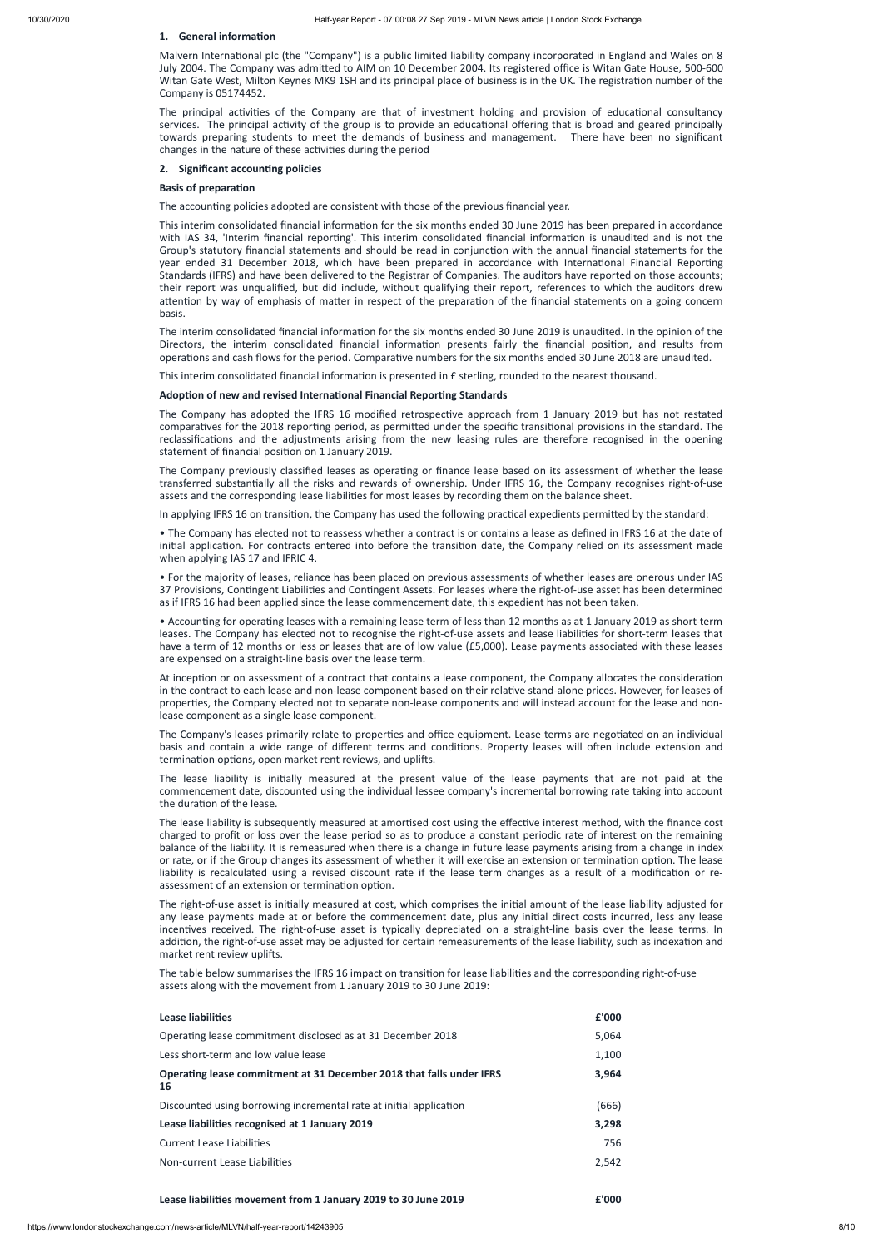## **1.** General information

Malvern International plc (the "Company") is a public limited liability company incorporated in England and Wales on 8 July 2004. The Company was admitted to AIM on 10 December 2004. Its registered office is Witan Gate House, 500-600 Witan Gate West, Milton Keynes MK9 1SH and its principal place of business is in the UK. The registration number of the Company is 05174452.

The principal activities of the Company are that of investment holding and provision of educational consultancy services. The principal activity of the group is to provide an educational offering that is broad and geared principally towards preparing students to meet the demands of business and management. There have been no significant changes in the nature of these activities during the period

## **2.** Significant accounting policies

### **Basis of preparation**

The accounting policies adopted are consistent with those of the previous financial year.

This interim consolidated financial information for the six months ended 30 June 2019 has been prepared in accordance with IAS 34, 'Interim financial reporting'. This interim consolidated financial information is unaudited and is not the Group's statutory financial statements and should be read in conjunction with the annual financial statements for the year ended 31 December 2018, which have been prepared in accordance with International Financial Reporting Standards (IFRS) and have been delivered to the Registrar of Companies. The auditors have reported on those accounts; their report was unqualified, but did include, without qualifying their report, references to which the auditors drew attention by way of emphasis of matter in respect of the preparation of the financial statements on a going concern basis.

The interim consolidated financial information for the six months ended 30 June 2019 is unaudited. In the opinion of the Directors, the interim consolidated financial information presents fairly the financial position, and results from operations and cash flows for the period. Comparative numbers for the six months ended 30 June 2018 are unaudited.

This interim consolidated financial information is presented in  $E$  sterling, rounded to the nearest thousand.

## **Adoption of new and revised International Financial Reporting Standards**

The Company has adopted the IFRS 16 modified retrospective approach from 1 January 2019 but has not restated comparatives for the 2018 reporting period, as permitted under the specific transitional provisions in the standard. The reclassifications and the adjustments arising from the new leasing rules are therefore recognised in the opening statement of financial position on 1 January 2019.

The Company previously classified leases as operating or finance lease based on its assessment of whether the lease transferred substantially all the risks and rewards of ownership. Under IFRS 16, the Company recognises right-of-use assets and the corresponding lease liabilities for most leases by recording them on the balance sheet.

In applying IFRS 16 on transition, the Company has used the following practical expedients permitted by the standard:

• Accounting for operating leases with a remaining lease term of less than 12 months as at 1 January 2019 as short-term leases. The Company has elected not to recognise the right-of-use assets and lease liabilities for short-term leases that have a term of 12 months or less or leases that are of low value (£5,000). Lease payments associated with these leases are expensed on a straight-line basis over the lease term.

At inception or on assessment of a contract that contains a lease component, the Company allocates the consideration in the contract to each lease and non-lease component based on their relative stand-alone prices. However, for leases of properties, the Company elected not to separate non-lease components and will instead account for the lease and nonlease component as a single lease component.

The Company's leases primarily relate to properties and office equipment. Lease terms are negotiated on an individual basis and contain a wide range of different terms and conditions. Property leases will often include extension and termination options, open market rent reviews, and uplifts.

The lease liability is initially measured at the present value of the lease payments that are not paid at the commencement date, discounted using the individual lessee company's incremental borrowing rate taking into account the duration of the lease.

The lease liability is subsequently measured at amortised cost using the effective interest method, with the finance cost charged to profit or loss over the lease period so as to produce a constant periodic rate of interest on the remaining balance of the liability. It is remeasured when there is a change in future lease payments arising from a change in index or rate, or if the Group changes its assessment of whether it will exercise an extension or termination option. The lease liability is recalculated using a revised discount rate if the lease term changes as a result of a modification or reassessment of an extension or termination option.

The right-of-use asset is initially measured at cost, which comprises the initial amount of the lease liability adjusted for any lease payments made at or before the commencement date, plus any initial direct costs incurred, less any lease incentives received. The right-of-use asset is typically depreciated on a straight-line basis over the lease terms. In addition, the right-of-use asset may be adjusted for certain remeasurements of the lease liability, such as indexation and market rent review uplifts.

The table below summarises the IFRS 16 impact on transition for lease liabilities and the corresponding right-of-use assets along with the movement from 1 January 2019 to 30 June 2019:

• The Company has elected not to reassess whether a contract is or contains a lease as defined in IFRS 16 at the date of initial application. For contracts entered into before the transition date, the Company relied on its assessment made when applying IAS 17 and IFRIC 4.

• For the majority of leases, reliance has been placed on previous assessments of whether leases are onerous under IAS 37 Provisions, Contingent Liabilities and Contingent Assets. For leases where the right-of-use asset has been determined as if IFRS 16 had been applied since the lease commencement date, this expedient has not been taken.

| Lease liabilities                                                          | £'000 |
|----------------------------------------------------------------------------|-------|
| Operating lease commitment disclosed as at 31 December 2018                | 5,064 |
| Less short-term and low value lease                                        | 1,100 |
| Operating lease commitment at 31 December 2018 that falls under IFRS<br>16 | 3,964 |
| Discounted using borrowing incremental rate at initial application         | (666) |
| Lease liabilities recognised at 1 January 2019                             | 3,298 |
| <b>Current Lease Liabilities</b>                                           | 756   |
| Non-current Lease Liabilities                                              | 2.542 |

## **Lease liabilies movement from 1 January 2019 to 30 June 2019 £'000**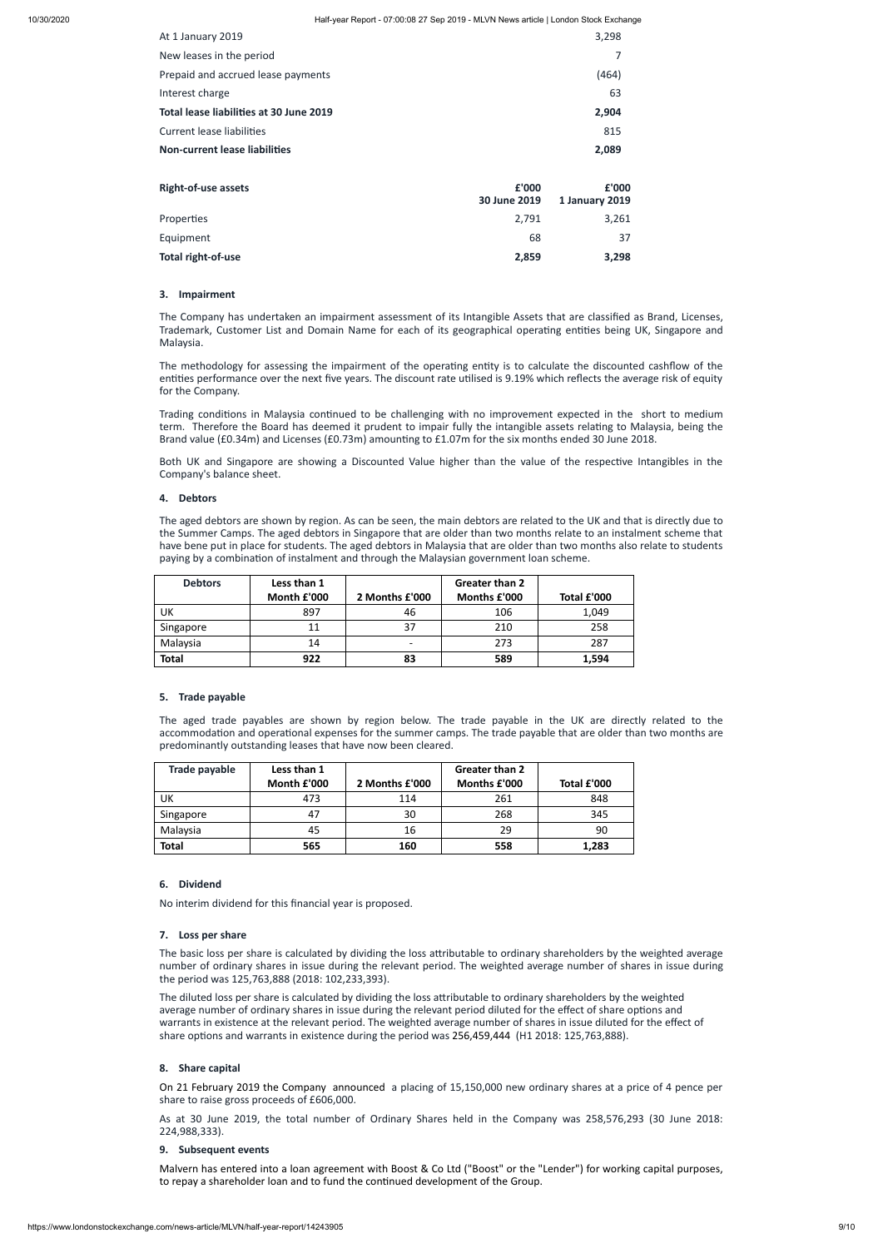| At 1 January 2019                       |                       | 3,298                   |
|-----------------------------------------|-----------------------|-------------------------|
| New leases in the period                |                       |                         |
| Prepaid and accrued lease payments      |                       | (464)                   |
| Interest charge                         |                       | 63                      |
| Total lease liabilities at 30 June 2019 |                       | 2,904                   |
| <b>Current lease liabilities</b>        |                       | 815                     |
| <b>Non-current lease liabilities</b>    |                       | 2,089                   |
| <b>Right-of-use assets</b>              | £'000<br>30 June 2019 | £'000<br>1 January 2019 |
| Properties                              | 2,791                 | 3,261                   |
| Equipment                               | 68                    | 37                      |
| Total right-of-use                      | 2,859                 | 3,298                   |

The methodology for assessing the impairment of the operating entity is to calculate the discounted cashflow of the entities performance over the next five years. The discount rate utilised is 9.19% which reflects the average risk of equity for the Company.

Trading conditions in Malaysia continued to be challenging with no improvement expected in the short to medium term. Therefore the Board has deemed it prudent to impair fully the intangible assets relating to Malaysia, being the Brand value (£0.34m) and Licenses (£0.73m) amounting to £1.07m for the six months ended 30 June 2018.

## **3. Impairment**

The Company has undertaken an impairment assessment of its Intangible Assets that are classified as Brand, Licenses, Trademark, Customer List and Domain Name for each of its geographical operating entities being UK, Singapore and Malaysia.

Both UK and Singapore are showing a Discounted Value higher than the value of the respective Intangibles in the Company's balance sheet.

The aged debtors are shown by region. As can be seen, the main debtors are related to the UK and that is directly due to the Summer Camps. The aged debtors in Singapore that are older than two months relate to an instalment scheme that have bene put in place for students. The aged debtors in Malaysia that are older than two months also relate to students paying by a combination of instalment and through the Malaysian government loan scheme.

The basic loss per share is calculated by dividing the loss attributable to ordinary shareholders by the weighted average number of ordinary shares in issue during the relevant period. The weighted average number of shares in issue during the period was 125,763,888 (2018: 102,233,393).

The diluted loss per share is calculated by dividing the loss attributable to ordinary shareholders by the weighted average number of ordinary shares in issue during the relevant period diluted for the effect of share options and warrants in existence at the relevant period. The weighted average number of shares in issue diluted for the effect of share options and warrants in existence during the period was 256,459,444 (H1 2018: 125,763,888).

## **4. Debtors**

Malvern has entered into a loan agreement with Boost & Co Ltd ("Boost" or the "Lender") for working capital purposes, to repay a shareholder loan and to fund the continued development of the Group.

| <b>Debtors</b> | Less than 1 |                | Greater than 2 |             |
|----------------|-------------|----------------|----------------|-------------|
|                | Month £'000 | 2 Months £'000 | Months £'000   | Total £'000 |
| UK             | 897         | 46             | 106            | 1,049       |
| Singapore      | 11          | 37             | 210            | 258         |
| Malaysia       | 14          |                | 273            | 287         |
| <b>Total</b>   | 922         | 83             | 589            | 1,594       |

## **5. Trade payable**

The aged trade payables are shown by region below. The trade payable in the UK are directly related to the accommodation and operational expenses for the summer camps. The trade payable that are older than two months are predominantly outstanding leases that have now been cleared.

| Trade payable | Less than 1 |                | Greater than 2 |             |
|---------------|-------------|----------------|----------------|-------------|
|               | Month £'000 | 2 Months £'000 | Months £'000   | Total £'000 |
| UK            | 473         | 114            | 261            | 848         |
| Singapore     | 47          | 30             | 268            | 345         |
| Malaysia      | 45          | 16             | 29             | 90          |
| <b>Total</b>  | 565         | 160            | 558            | 1,283       |

## **6. Dividend**

No interim dividend for this financial year is proposed.

## **7. Loss per share**

## **8. Share capital**

On 21 February 2019 the Company announced a placing of 15,150,000 new ordinary shares at a price of 4 pence per share to raise gross proceeds of £606,000.

As at 30 June 2019, the total number of Ordinary Shares held in the Company was 258,576,293 (30 June 2018: 224,988,333).

## **9. Subsequent events**